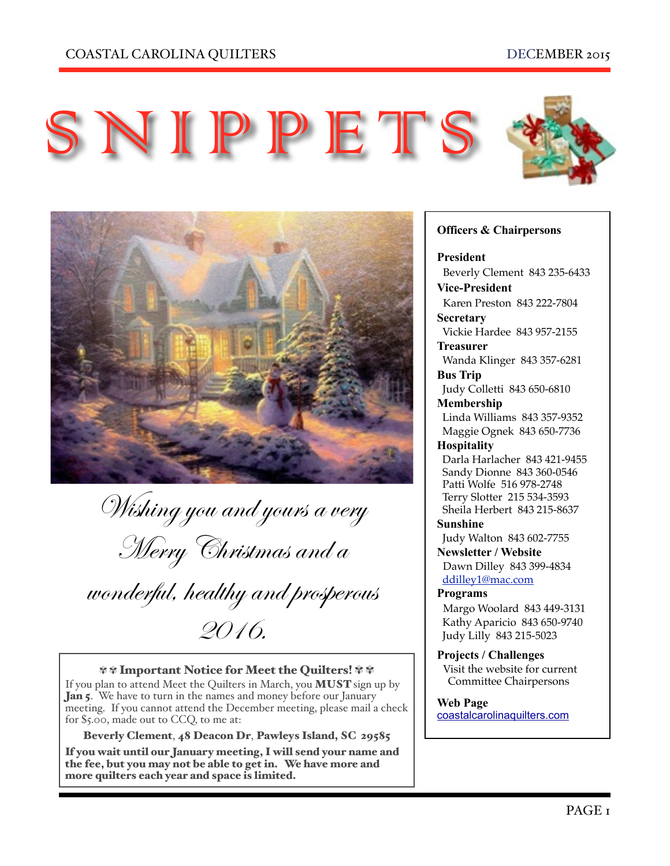

S NIPPETS

Wishing you and yours a very Merry Christmas and a

wonderful, healthy and prosperous 2016.

#### ✾ ✾ Important Notice for Meet the Quilters! ✾ ✾

If you plan to attend Meet the Quilters in March, you MUST sign up by Jan 5. We have to turn in the names and money before our January meeting. If you cannot attend the December meeting, please mail a check for \$5.00, made out to CCQ, to me at:

Beverly Clement, 48 Deacon Dr, Pawleys Island, SC 29585 If you wait until our January meeting, I will send your name and

the fee, but you may not be able to get in. We have more and more quilters each year and space is limited.

#### **Officers & Chairpersons**

**President**

 Beverly Clement 843 235-6433 **Vice-President** 

Karen Preston 843 222-7804

**Secretary** Vickie Hardee 843 957-2155

**Treasurer**  Wanda Klinger 843 357-6281

**Bus Trip**  Judy Colletti 843 650-6810

**Membership** 

 Linda Williams 843 357-9352 Maggie Ognek 843 650-7736

#### **Hospitality**

 Darla Harlacher 843 421-9455 Sandy Dionne 843 360-0546 Patti Wolfe 516 978-2748 Terry Slotter 215 534-3593 Sheila Herbert 843 215-8637

**Sunshine** 

Judy Walton 843 602-7755

**Newsletter / Website** Dawn Dilley 843 399-4834

[ddilley1@mac.com](mailto:ddilley1@mac.com)

## **Programs**

Margo Woolard 843 449-3131 Kathy Aparicio 843 650-9740 Judy Lilly 843 215-5023

**Projects / Challenges**  Visit the website for current Committee Chairpersons

**Web Page**  [coastalcarolinaquilters.com](http://coastalcarolinaquilters.com)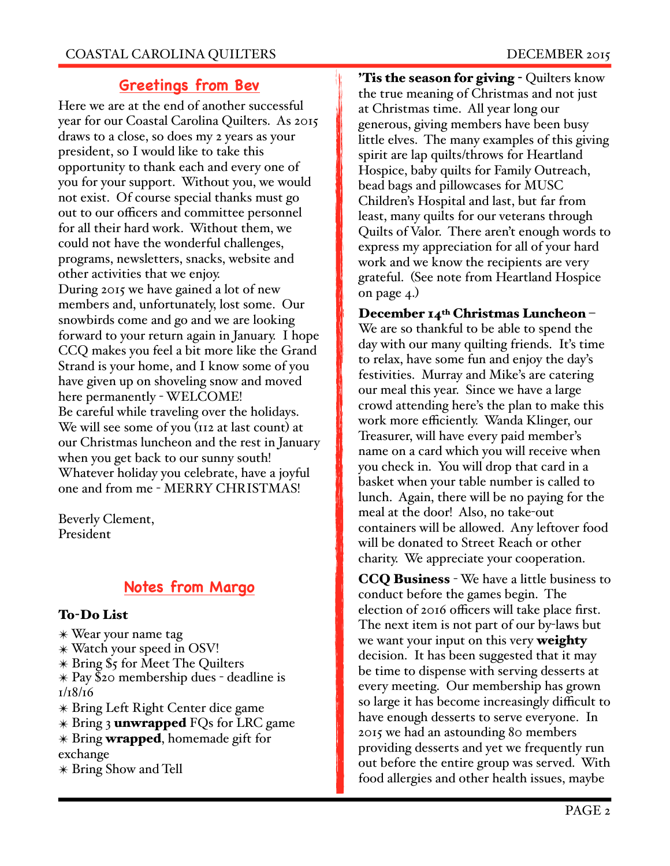# **Greetings from Bev**

Here we are at the end of another successful year for our Coastal Carolina Quilters. As 2015 draws to a close, so does my 2 years as your president, so I would like to take this opportunity to thank each and every one of you for your support. Without you, we would not exist. Of course special thanks must go out to our officers and committee personnel for all their hard work. Without them, we could not have the wonderful challenges, programs, newsletters, snacks, website and other activities that we enjoy. During 2015 we have gained a lot of new members and, unfortunately, lost some. Our snowbirds come and go and we are looking forward to your return again in January. I hope CCQ makes you feel a bit more like the Grand Strand is your home, and I know some of you have given up on shoveling snow and moved here permanently - WELCOME! Be careful while traveling over the holidays. We will see some of you (112 at last count) at our Christmas luncheon and the rest in January when you get back to our sunny south! Whatever holiday you celebrate, have a joyful one and from me - MERRY CHRISTMAS!

Beverly Clement, President

# **Notes from Margo**

## To-Do List

- ✴ Wear your name tag
- ✴ Watch your speed in OSV!
- ✴ Bring \$5 for Meet The Quilters
- ✴ Pay \$20 membership dues deadline is 1/18/16
- ✴ Bring Left Right Center dice game
- \* Bring 3 unwrapped FQs for LRC game  $*$  Bring **wrapped**, homemade gift for
- exchange
- ✴ Bring Show and Tell

**Tis the season for giving - Quilters know** the true meaning of Christmas and not just at Christmas time. All year long our generous, giving members have been busy little elves. The many examples of this giving spirit are lap quilts/throws for Heartland Hospice, baby quilts for Family Outreach, bead bags and pillowcases for MUSC Children's Hospital and last, but far from least, many quilts for our veterans through Quilts of Valor. There aren't enough words to express my appreciation for all of your hard work and we know the recipients are very grateful. (See note from Heartland Hospice on page  $4$ .)

# December 14<sup>th</sup> Christmas Luncheon -We are so thankful to be able to spend the day with our many quilting friends. It's time to relax, have some fun and enjoy the day's festivities. Murray and Mike's are catering our meal this year. Since we have a large crowd attending here's the plan to make this work more efficiently. Wanda Klinger, our Treasurer, will have every paid member's name on a card which you will receive when you check in. You will drop that card in a basket when your table number is called to lunch. Again, there will be no paying for the meal at the door! Also, no take-out containers will be allowed. Any leftover food will be donated to Street Reach or other charity. We appreciate your cooperation.

CCQ Business - We have a little business to conduct before the games begin. The election of 2016 officers will take place first. The next item is not part of our by-laws but we want your input on this very weighty decision. It has been suggested that it may be time to dispense with serving desserts at every meeting. Our membership has grown so large it has become increasingly difficult to have enough desserts to serve everyone. In 2015 we had an astounding 80 members providing desserts and yet we frequently run out before the entire group was served. With food allergies and other health issues, maybe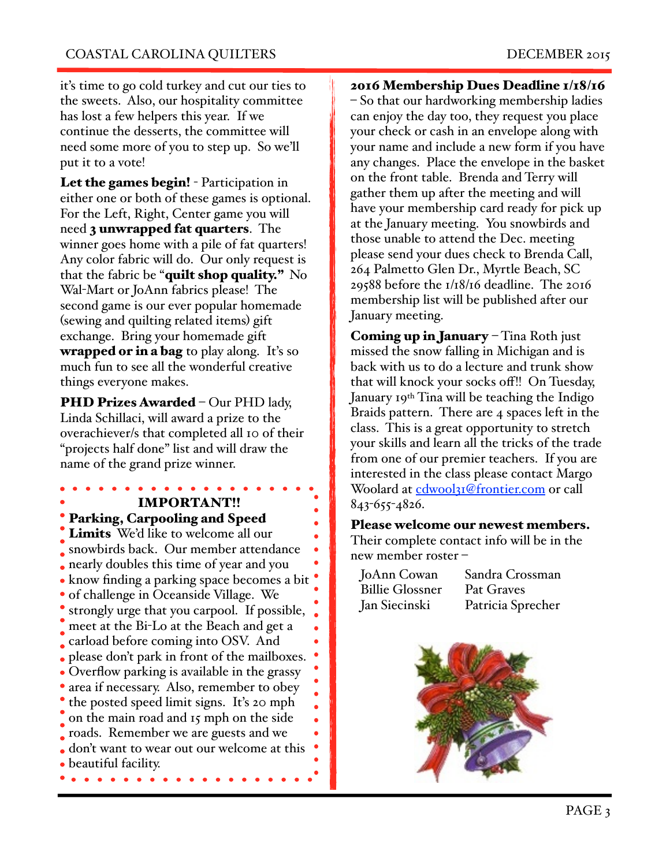it's time to go cold turkey and cut our ties to the sweets. Also, our hospitality committee has lost a few helpers this year. If we continue the desserts, the committee will need some more of you to step up. So we'll put it to a vote!

Let the games begin! - Participation in either one or both of these games is optional. For the Left, Right, Center game you will need **3 unwrapped fat quarters**. The winner goes home with a pile of fat quarters! Any color fabric will do. Our only request is that the fabric be "quilt shop quality." No Wal-Mart or JoAnn fabrics please! The second game is our ever popular homemade (sewing and quilting related items) gift exchange. Bring your homemade gift **wrapped or in a bag** to play along. It's so much fun to see all the wonderful creative things everyone makes.

PHD Prizes Awarded - Our PHD lady, Linda Schillaci, will award a prize to the overachiever/s that completed all 10 of their "projects half done" list and will draw the name of the grand prize winner.

## IMPORTANT!! Parking, Carpooling and Speed

Limits We'd like to welcome all our snowbirds back. Our member attendance nearly doubles this time of year and you  $\bullet$  know finding a parking space becomes a bit  $\bullet$ of challenge in Oceanside Village. We strongly urge that you carpool. If possible, meet at the Bi-Lo at the Beach and get a carload before coming into OSV. And please don't park in front of the mailboxes. • Overflow parking is available in the grassy • area if necessary. Also, remember to obey • the posted speed limit signs. It's 20 mph on the main road and 15 mph on the side roads. Remember we are guests and we don't want to wear out our welcome at this beautiful facility.  $\bullet$   $\bullet$  $\bullet$   $\bullet$ 

2016 Membership Dues Deadline 1/18/16 – So that our hardworking membership ladies can enjoy the day too, they request you place your check or cash in an envelope along with your name and include a new form if you have any changes. Place the envelope in the basket on the front table. Brenda and Terry will gather them up after the meeting and will have your membership card ready for pick up at the January meeting. You snowbirds and those unable to attend the Dec. meeting please send your dues check to Brenda Call, 264 Palmetto Glen Dr., Myrtle Beach, SC 29588 before the 1/18/16 deadline. The 2016 membership list will be published after our January meeting.

Coming up in January – Tina Roth just missed the snow falling in Michigan and is back with us to do a lecture and trunk show that will knock your socks off!! On Tuesday, January 19th Tina will be teaching the Indigo Braids pattern. There are 4 spaces left in the class. This is a great opportunity to stretch your skills and learn all the tricks of the trade from one of our premier teachers. If you are interested in the class please contact Margo Woolard at [cdwool31@frontier.com](mailto:cdwool31@frontier.com) or call 843-655-4826.

### Please welcome our newest members. Their complete contact info will be in the new member roster –

| JoAnn Cowan            | Sandra Crossman   |
|------------------------|-------------------|
| <b>Billie Glossner</b> | Pat Graves        |
| Jan Siecinski          | Patricia Sprecher |

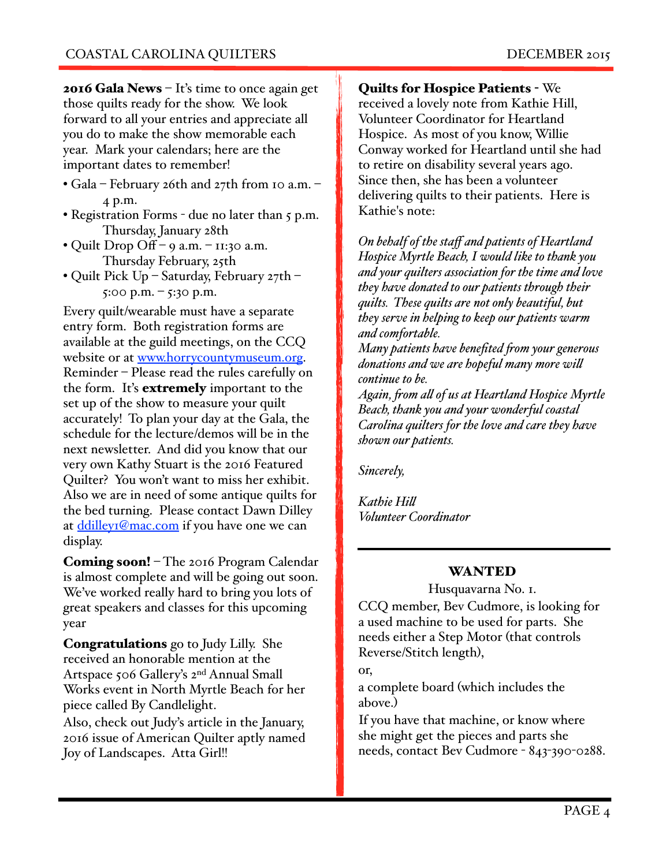**2016 Gala News**  $-$  It's time to once again get those quilts ready for the show. We look forward to all your entries and appreciate all you do to make the show memorable each year. Mark your calendars; here are the important dates to remember!

- Gala February 26th and 27th from 10 a.m. 4 p.m.
- Registration Forms due no later than 5 p.m. Thursday, January 28th
- Quilt Drop Off 9 a.m. 11:30 a.m. Thursday February, 25th
- Quilt Pick Up Saturday, February 27th 5:00 p.m. – 5:30 p.m.

Every quilt/wearable must have a separate entry form. Both registration forms are available at the guild meetings, on the CCQ website or at [www.horrycountymuseum.org.](http://www.horrycountymuseum.org/) Reminder – Please read the rules carefully on the form. It's **extremely** important to the set up of the show to measure your quilt accurately! To plan your day at the Gala, the schedule for the lecture/demos will be in the next newsletter. And did you know that our very own Kathy Stuart is the 2016 Featured Quilter? You won't want to miss her exhibit. Also we are in need of some antique quilts for the bed turning. Please contact Dawn Dilley at [ddilley1@mac.com](mailto:ddilley1@mac.com) if you have one we can display.

Coming soon! – The 2016 Program Calendar is almost complete and will be going out soon. We've worked really hard to bring you lots of great speakers and classes for this upcoming year

Congratulations go to Judy Lilly. She received an honorable mention at the Artspace 506 Gallery's 2nd Annual Small Works event in North Myrtle Beach for her piece called By Candlelight.

Also, check out Judy's article in the January, 2016 issue of American Quilter aptly named Joy of Landscapes. Atta Girl!!

Quilts for Hospice Patients - We received a lovely note from Kathie Hill, Volunteer Coordinator for Heartland Hospice. As most of you know, Willie Conway worked for Heartland until she had to retire on disability several years ago. Since then, she has been a volunteer delivering quilts to their patients. Here is Kathie's note:

*On behalf of the staff and patients of Heartland Hospice Myrtle Beach, I would like to thank you and your quilters association for the time and love they have donated to our patients through their quilts. These quilts are not only beautiful, but they serve in helping to keep our patients warm and comfortable.*

*Many patients have benefited fom your generous donations and we are hopeful many more wil continue to be.*

*Again, fom al of us at Heartland Hospice Myrtle Beach, thank you and your wonderful coastal Carolina quilters for the love and care they have shown our patients.*

*Sincerely,*

*Kathie Hil" Volunteer Coordinator*

# WANTED

Husquavarna No. 1.

CCQ member, Bev Cudmore, is looking for a used machine to be used for parts. She needs either a Step Motor (that controls Reverse/Stitch length),

or,

a complete board (which includes the above.)

If you have that machine, or know where she might get the pieces and parts she needs, contact Bev Cudmore - 843-390-0288.